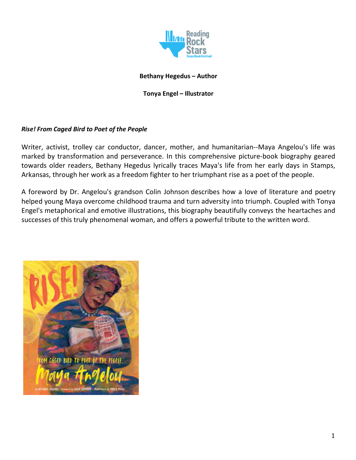

## **Bethany Hegedus – Author**

## **Tonya Engel – Illustrator**

## *Rise! From Caged Bird to Poet of the People*

Writer, activist, trolley car conductor, dancer, mother, and humanitarian--Maya Angelou's life was marked by transformation and perseverance. In this comprehensive picture-book biography geared towards older readers, Bethany Hegedus lyrically traces Maya's life from her early days in Stamps, Arkansas, through her work as a freedom fighter to her triumphant rise as a poet of the people.

A foreword by Dr. Angelou's grandson Colin Johnson describes how a love of literature and poetry helped young Maya overcome childhood trauma and turn adversity into triumph. Coupled with Tonya Engel's metaphorical and emotive illustrations, this biography beautifully conveys the heartaches and successes of this truly phenomenal woman, and offers a powerful tribute to the written word.

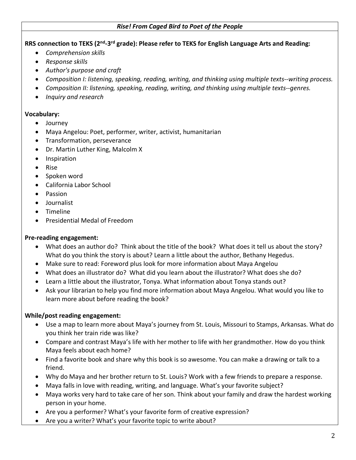#### *Rise! From Caged Bird to Poet of the People*

**RRS connection to TEKS (2nd-3rd grade): Please refer to TEKS for English Language Arts and Reading:**

- *Comprehension skills*
- *Response skills*
- *Author's purpose and craft*
- *Composition I: listening, speaking, reading, writing, and thinking using multiple texts--writing process.*
- *Composition II: listening, speaking, reading, writing, and thinking using multiple texts--genres.*
- *Inquiry and research*

#### **Vocabulary:**

- Journey
- Maya Angelou: Poet, performer, writer, activist, humanitarian
- Transformation, perseverance
- Dr. Martin Luther King, Malcolm X
- Inspiration
- Rise
- Spoken word
- California Labor School
- Passion
- Journalist
- Timeline
- Presidential Medal of Freedom

## **Pre-reading engagement:**

- What does an author do? Think about the title of the book? What does it tell us about the story? What do you think the story is about? Learn a little about the author, Bethany Hegedus.
- Make sure to read: Foreword plus look for more information about Maya Angelou
- What does an illustrator do? What did you learn about the illustrator? What does she do?
- Learn a little about the illustrator, Tonya. What information about Tonya stands out?
- Ask your librarian to help you find more information about Maya Angelou. What would you like to learn more about before reading the book?

## **While/post reading engagement:**

- Use a map to learn more about Maya's journey from St. Louis, Missouri to Stamps, Arkansas. What do you think her train ride was like?
- Compare and contrast Maya's life with her mother to life with her grandmother. How do you think Maya feels about each home?
- Find a favorite book and share why this book is so awesome. You can make a drawing or talk to a friend.
- Why do Maya and her brother return to St. Louis? Work with a few friends to prepare a response.
- Maya falls in love with reading, writing, and language. What's your favorite subject?
- Maya works very hard to take care of her son. Think about your family and draw the hardest working person in your home.
- Are you a performer? What's your favorite form of creative expression?
- Are you a writer? What's your favorite topic to write about?